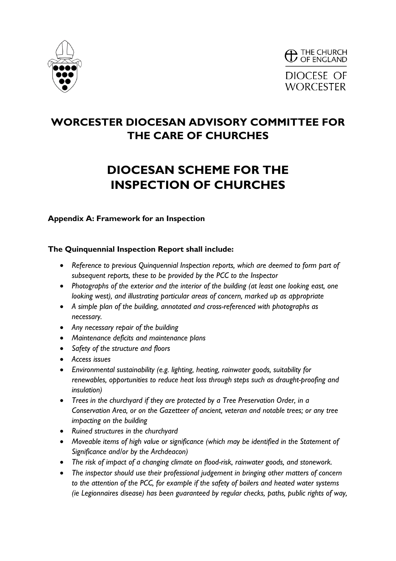



# **WORCESTER DIOCESAN ADVISORY COMMITTEE FOR THE CARE OF CHURCHES**

# **DIOCESAN SCHEME FOR THE INSPECTION OF CHURCHES**

### **Appendix A: Framework for an Inspection**

#### **The Quinquennial Inspection Report shall include:**

- *Reference to previous Quinquennial Inspection reports, which are deemed to form part of subsequent reports, these to be provided by the PCC to the Inspector*
- *Photographs of the exterior and the interior of the building (at least one looking east, one looking west), and illustrating particular areas of concern, marked up as appropriate*
- *A simple plan of the building, annotated and cross-referenced with photographs as necessary.*
- *Any necessary repair of the building*
- *Maintenance deficits and maintenance plans*
- *Safety of the structure and floors*
- *Access issues*
- *Environmental sustainability (e.g. lighting, heating, rainwater goods, suitability for renewables, opportunities to reduce heat loss through steps such as draught-proofing and insulation)*
- *Trees in the churchyard if they are protected by a Tree Preservation Order, in a Conservation Area, or on the Gazetteer of ancient, veteran and notable trees; or any tree impacting on the building*
- *Ruined structures in the churchyard*
- *Moveable items of high value or significance (which may be identified in the Statement of Significance and/or by the Archdeacon)*
- *The risk of impact of a changing climate on flood-risk, rainwater goods, and stonework.*
- *The inspector should use their professional judgement in bringing other matters of concern to the attention of the PCC, for example if the safety of boilers and heated water systems (ie Legionnaires disease) has been guaranteed by regular checks, paths, public rights of way,*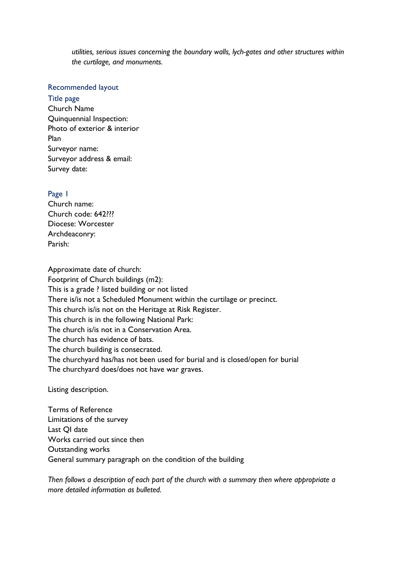*utilities, serious issues concerning the boundary walls, lych-gates and other structures within the curtilage, and monuments.*

#### Recommended layout

Title page

Church Name Quinquennial Inspection: Photo of exterior & interior Plan Surveyor name: Surveyor address & email: Survey date:

#### Page 1

Church name: Church code: 642??? Diocese: Worcester Archdeaconry: Parish:

Approximate date of church: Footprint of Church buildings (m2): This is a grade ? listed building or not listed There is/is not a Scheduled Monument within the curtilage or precinct. This church is/is not on the Heritage at Risk Register. This church is in the following National Park: The church is/is not in a Conservation Area. The church has evidence of bats. The church building is consecrated. The churchyard has/has not been used for burial and is closed/open for burial The churchyard does/does not have war graves.

Listing description.

Terms of Reference Limitations of the survey Last QI date Works carried out since then Outstanding works General summary paragraph on the condition of the building

*Then follows a description of each part of the church with a summary then where appropriate a more detailed information as bulleted.*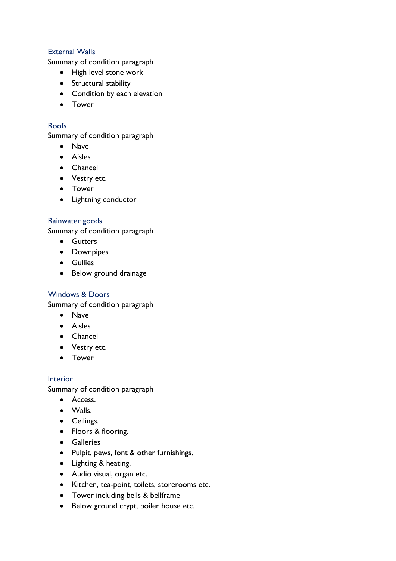#### External Walls

Summary of condition paragraph

- High level stone work
- Structural stability
- Condition by each elevation
- Tower

#### Roofs

Summary of condition paragraph

- Nave
- Aisles
- Chancel
- Vestry etc.
- Tower
- Lightning conductor

#### Rainwater goods

Summary of condition paragraph

- **•** Gutters
- Downpipes
- **•** Gullies
- Below ground drainage

### Windows & Doors

Summary of condition paragraph

- Nave
- Aisles
- Chancel
- Vestry etc.
- Tower

#### Interior

Summary of condition paragraph

- Access.
- Walls.
- **•** Ceilings.
- Floors & flooring.
- **•** Galleries
- Pulpit, pews, font & other furnishings.
- Lighting & heating.
- Audio visual, organ etc.
- Kitchen, tea-point, toilets, storerooms etc.
- Tower including bells & bellframe
- Below ground crypt, boiler house etc.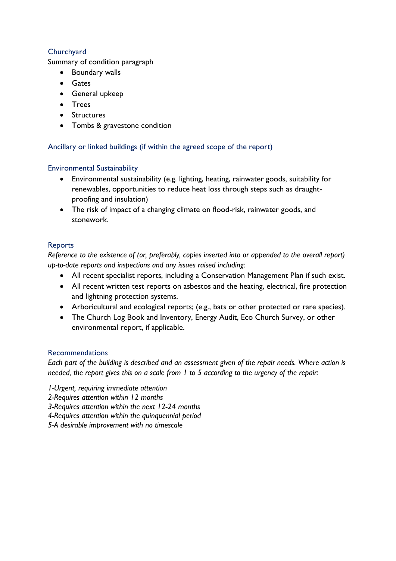## **Churchyard**

Summary of condition paragraph

- **•** Boundary walls
- Gates
- General upkeep
- Trees
- **Structures**
- Tombs & gravestone condition

### Ancillary or linked buildings (if within the agreed scope of the report)

### Environmental Sustainability

- Environmental sustainability (e.g. lighting, heating, rainwater goods, suitability for renewables, opportunities to reduce heat loss through steps such as draughtproofing and insulation)
- The risk of impact of a changing climate on flood-risk, rainwater goods, and stonework.

### **Reports**

*Reference to the existence of (or, preferably, copies inserted into or appended to the overall report) up-to-date reports and inspections and any issues raised including:*

- All recent specialist reports, including a Conservation Management Plan if such exist.
- All recent written test reports on asbestos and the heating, electrical, fire protection and lightning protection systems.
- Arboricultural and ecological reports; (e.g., bats or other protected or rare species).
- The Church Log Book and Inventory, Energy Audit, Eco Church Survey, or other environmental report, if applicable.

#### **Recommendations**

*Each part of the building is described and an assessment given of the repair needs. Where action is needed, the report gives this on a scale from 1 to 5 according to the urgency of the repair:* 

*1-Urgent, requiring immediate attention* 

*2-Requires attention within 12 months* 

*3-Requires attention within the next 12-24 months* 

*4-Requires attention within the quinquennial period* 

*5-A desirable improvement with no timescale*